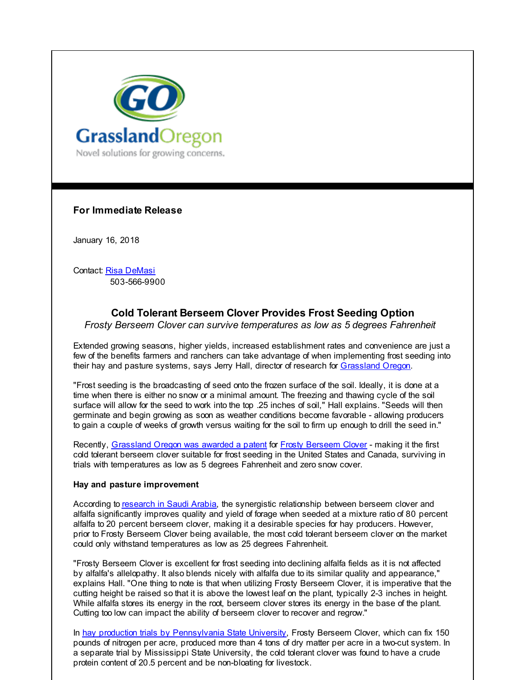

**For Immediate Release**

January 16, 2018

Contact: Risa [DeMasi](mailto:RisaDeMasi@GrasslandOregon.com) 503-566-9900

# **Cold Tolerant Berseem Clover Provides Frost Seeding Option**

*Frosty Berseem Clover can survive temperatures as low as 5 degrees Fahrenheit*

Extended growing seasons, higher yields, increased establishment rates and convenience are just a few of the benefits farmers and ranchers can take advantage of when implementing frost seeding into their hay and pasture systems, says Jerry Hall, director of research for [Grassland](http://r20.rs6.net/tn.jsp?f=001PxBLtQHYoimni59dSo_6NxRvacc0o9cuVA9s4SbXqtabvq7EEuxjloMULnJVurZw8C2TqqcM58w_mWGkKn2BVFMcuYYcgNmAoXk9bmOdY8bAe4xZecAmwACupNRyOnbHIqmnHSc2LxuQZ2xJh0QIaX1fGQMcJ8n54vte2le31fFbh_6BP2DHow==&c=&ch=) Oregon.

"Frost seeding is the broadcasting of seed onto the frozen surface of the soil. Ideally, it is done at a time when there is either no snow or a minimal amount. The freezing and thawing cycle of the soil surface will allow for the seed to work into the top .25 inches of soil," Hall explains. "Seeds will then germinate and begin growing as soon as weather conditions become favorable - allowing producers to gain a couple of weeks of growth versus waiting for the soil to firm up enough to drill the seed in."

Recently, [Grassland](http://r20.rs6.net/tn.jsp?f=001PxBLtQHYoimni59dSo_6NxRvacc0o9cuVA9s4SbXqtabvq7EEuxjlsa9DaliztQbBh4_Nn3arFSDrLO2mtP-_MfNIxygrWY4dZtmZU96qyoxAyiLpUYcwAxl7ByYLPmyCB01e5p1dPo-K9d2fcFyWAMdFK1roA5h3hyhVxHZvHQunWGmfxmae-_No3hqfk6gZRtj214UucsAOe4KYNDED550cPfMNlgnwEsAODx1v0mpYh4FMFsM-pB2EElETK92ZNyEpJQ-GkDG_zlM5yeVR6UiefBhFa6b3m8c6dU6-oLqHzN0JKS8fRhB9rstVlTKSPmfby-q1DiFZyxG3sN5XpbNnfMhDY_hvcBmTrR9ZofngvKL5G2zDDZ8dFo5RrwbT22YHORxspl2-YXLoI2WZlMz287mqV2A0uY_Tyhj2vvU_f5-YX1MFLwMeCsb6wTBsD_Z9mqmi-I=&c=&ch=) Oregon was awarded a patent for Frosty [Berseem](http://r20.rs6.net/tn.jsp?f=001PxBLtQHYoimni59dSo_6NxRvacc0o9cuVA9s4SbXqtabvq7EEuxjlsa9DaliztQb3xcNinRLgiCKlReKlknElcad6kXXeEZIJC7AG4NTg5voAPFEox8rVC9tbvSVJQPD6GL-ZQ5vGQ2y4ojn5X0Y-dPSAB2vL4Hn9x7eTk7CKdif9PgHNgEyvxzejhBf-4GPVU7dR6ETmgelLA6XxUuPFg==&c=&ch=) Clover - making it the first cold tolerant berseem clover suitable for frost seeding in the United States and Canada, surviving in trials with temperatures as low as 5 degrees Fahrenheit and zero snow cover.

## **Hay and pasture improvement**

According to [research](http://r20.rs6.net/tn.jsp?f=001PxBLtQHYoimni59dSo_6NxRvacc0o9cuVA9s4SbXqtabvq7EEuxjlsa9DaliztQbGBxcCJd4AKHVkHzhuTIWxNYZzSQoRiU562Oc1gZLi6vU7MtapO5YbdpAWRGcpCQ8RYSBJwI4ulCnDZ9RlINg8PJzuhGF5ccaSL71VxuNOz40HReDXrsmmfZtKQIUdc85y_lki_ZB-kc=&c=&ch=) in Saudi Arabia, the synergistic relationship between berseem clover and alfalfa significantly improves quality and yield of forage when seeded at a mixture ratio of 80 percent alfalfa to 20 percent berseem clover, making it a desirable species for hay producers. However, prior to Frosty Berseem Clover being available, the most cold tolerant berseem clover on the market could only withstand temperatures as low as 25 degrees Fahrenheit.

"Frosty Berseem Clover is excellent for frost seeding into declining alfalfa fields as it is not affected by alfalfa's allelopathy. It also blends nicely with alfalfa due to its similar quality and appearance," explains Hall. "One thing to note is that when utilizing Frosty Berseem Clover, it is imperative that the cutting height be raised so that it is above the lowest leaf on the plant, typically 2-3 inches in height. While alfalfa stores its energy in the root, berseem clover stores its energy in the base of the plant. Cutting too low can impact the ability of berseem clover to recover and regrow."

In hay production trials by [Pennsylvania](http://r20.rs6.net/tn.jsp?f=001PxBLtQHYoimni59dSo_6NxRvacc0o9cuVA9s4SbXqtabvq7EEuxjlsa9DaliztQbhaZ9q_SrLXo5K3aRz6hTkKH6N_rhuLwACQwctgJYXy6r5I58lDxHyYWT1bblg8uLjZg31JR6FJr8-AZJsANz0KyG8QnvErCpoE4kF__xsvvmsD0I9j64wBwMd0ecbTE8e0sRFwzT5WMIkKJCfdf26Mijy22_C1Ck&c=&ch=) State University, Frosty Berseem Clover, which can fix 150 pounds of nitrogen per acre, produced more than 4 tons of dry matter per acre in a two-cut system. In a separate trial by Mississippi State University, the cold tolerant clover was found to have a crude protein content of 20.5 percent and be non-bloating for livestock.